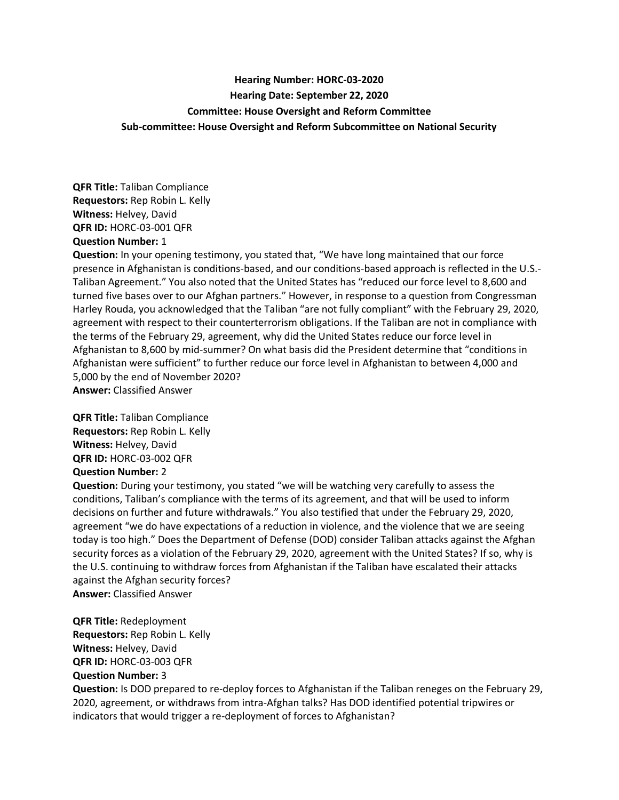## **Hearing Number: HORC-03-2020 Hearing Date: September 22, 2020 Committee: House Oversight and Reform Committee Sub-committee: House Oversight and Reform Subcommittee on National Security**

**QFR Title:** Taliban Compliance **Requestors:** Rep Robin L. Kelly **Witness:** Helvey, David **QFR ID:** HORC-03-001 QFR **Question Number:** 1

**Question:** In your opening testimony, you stated that, "We have long maintained that our force presence in Afghanistan is conditions-based, and our conditions-based approach is reflected in the U.S.- Taliban Agreement." You also noted that the United States has "reduced our force level to 8,600 and turned five bases over to our Afghan partners." However, in response to a question from Congressman Harley Rouda, you acknowledged that the Taliban "are not fully compliant" with the February 29, 2020, agreement with respect to their counterterrorism obligations. If the Taliban are not in compliance with the terms of the February 29, agreement, why did the United States reduce our force level in Afghanistan to 8,600 by mid-summer? On what basis did the President determine that "conditions in Afghanistan were sufficient" to further reduce our force level in Afghanistan to between 4,000 and 5,000 by the end of November 2020? **Answer:** Classified Answer

**QFR Title:** Taliban Compliance **Requestors:** Rep Robin L. Kelly **Witness:** Helvey, David **QFR ID:** HORC-03-002 QFR **Question Number:** 2

**Question:** During your testimony, you stated "we will be watching very carefully to assess the conditions, Taliban's compliance with the terms of its agreement, and that will be used to inform decisions on further and future withdrawals." You also testified that under the February 29, 2020, agreement "we do have expectations of a reduction in violence, and the violence that we are seeing today is too high." Does the Department of Defense (DOD) consider Taliban attacks against the Afghan security forces as a violation of the February 29, 2020, agreement with the United States? If so, why is the U.S. continuing to withdraw forces from Afghanistan if the Taliban have escalated their attacks against the Afghan security forces? **Answer:** Classified Answer

**QFR Title:** Redeployment **Requestors:** Rep Robin L. Kelly **Witness:** Helvey, David **QFR ID:** HORC-03-003 QFR **Question Number:** 3

**Question:** Is DOD prepared to re-deploy forces to Afghanistan if the Taliban reneges on the February 29, 2020, agreement, or withdraws from intra-Afghan talks? Has DOD identified potential tripwires or indicators that would trigger a re-deployment of forces to Afghanistan?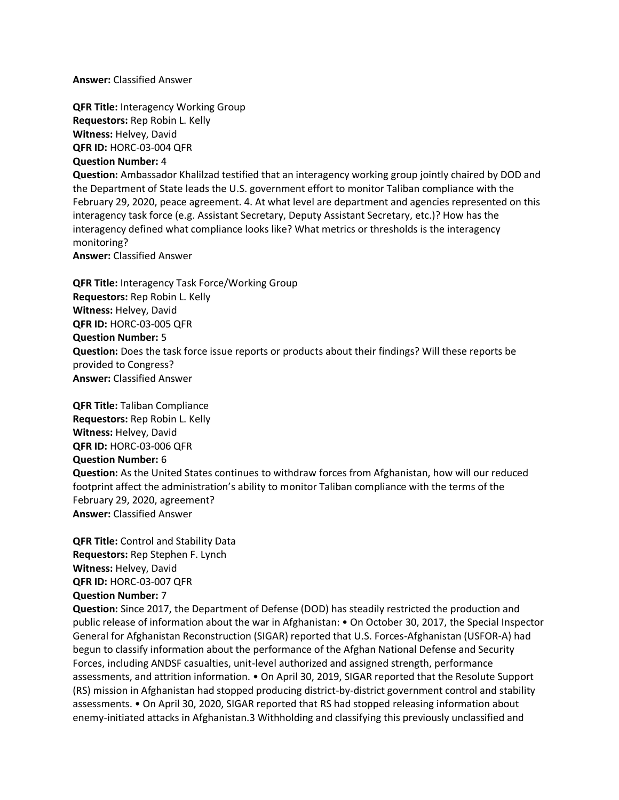**Answer:** Classified Answer

**QFR Title:** Interagency Working Group **Requestors:** Rep Robin L. Kelly **Witness:** Helvey, David **QFR ID:** HORC-03-004 QFR **Question Number:** 4

**Question:** Ambassador Khalilzad testified that an interagency working group jointly chaired by DOD and the Department of State leads the U.S. government effort to monitor Taliban compliance with the February 29, 2020, peace agreement. 4. At what level are department and agencies represented on this interagency task force (e.g. Assistant Secretary, Deputy Assistant Secretary, etc.)? How has the interagency defined what compliance looks like? What metrics or thresholds is the interagency monitoring?

**Answer:** Classified Answer

**QFR Title:** Interagency Task Force/Working Group **Requestors:** Rep Robin L. Kelly **Witness:** Helvey, David **QFR ID:** HORC-03-005 QFR **Question Number:** 5 **Question:** Does the task force issue reports or products about their findings? Will these reports be provided to Congress? **Answer:** Classified Answer

**QFR Title:** Taliban Compliance **Requestors:** Rep Robin L. Kelly **Witness:** Helvey, David **QFR ID:** HORC-03-006 QFR **Question Number:** 6 **Question:** As the United States continues to withdraw forces from Afghanistan, how will our reduced footprint affect the administration's ability to monitor Taliban compliance with the terms of the February 29, 2020, agreement? **Answer:** Classified Answer

**QFR Title:** Control and Stability Data **Requestors:** Rep Stephen F. Lynch **Witness:** Helvey, David **QFR ID:** HORC-03-007 QFR **Question Number:** 7

**Question:** Since 2017, the Department of Defense (DOD) has steadily restricted the production and public release of information about the war in Afghanistan: • On October 30, 2017, the Special Inspector General for Afghanistan Reconstruction (SIGAR) reported that U.S. Forces-Afghanistan (USFOR-A) had begun to classify information about the performance of the Afghan National Defense and Security Forces, including ANDSF casualties, unit-level authorized and assigned strength, performance assessments, and attrition information. • On April 30, 2019, SIGAR reported that the Resolute Support (RS) mission in Afghanistan had stopped producing district-by-district government control and stability assessments. • On April 30, 2020, SIGAR reported that RS had stopped releasing information about enemy-initiated attacks in Afghanistan.3 Withholding and classifying this previously unclassified and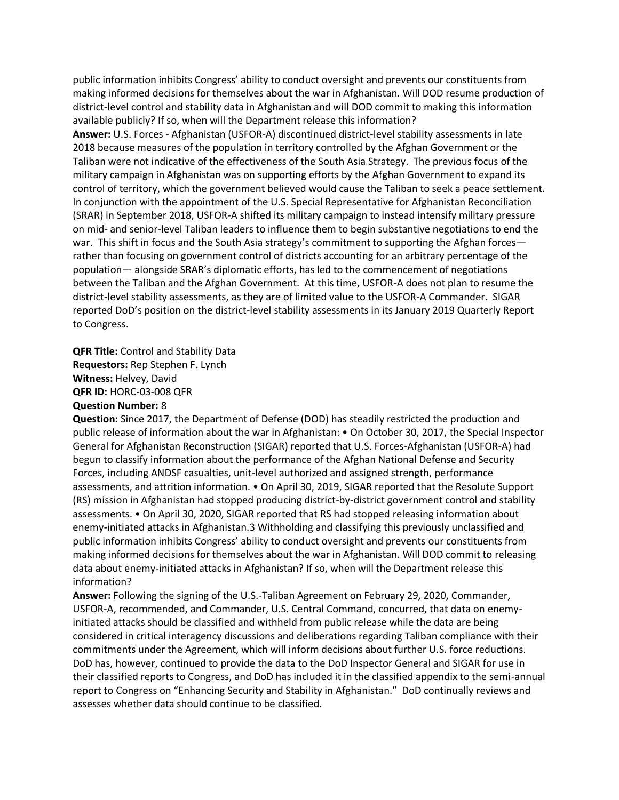public information inhibits Congress' ability to conduct oversight and prevents our constituents from making informed decisions for themselves about the war in Afghanistan. Will DOD resume production of district-level control and stability data in Afghanistan and will DOD commit to making this information available publicly? If so, when will the Department release this information?

**Answer:** U.S. Forces - Afghanistan (USFOR-A) discontinued district-level stability assessments in late 2018 because measures of the population in territory controlled by the Afghan Government or the Taliban were not indicative of the effectiveness of the South Asia Strategy. The previous focus of the military campaign in Afghanistan was on supporting efforts by the Afghan Government to expand its control of territory, which the government believed would cause the Taliban to seek a peace settlement. In conjunction with the appointment of the U.S. Special Representative for Afghanistan Reconciliation (SRAR) in September 2018, USFOR-A shifted its military campaign to instead intensify military pressure on mid- and senior-level Taliban leaders to influence them to begin substantive negotiations to end the war. This shift in focus and the South Asia strategy's commitment to supporting the Afghan forces rather than focusing on government control of districts accounting for an arbitrary percentage of the population— alongside SRAR's diplomatic efforts, has led to the commencement of negotiations between the Taliban and the Afghan Government. At this time, USFOR-A does not plan to resume the district-level stability assessments, as they are of limited value to the USFOR-A Commander. SIGAR reported DoD's position on the district-level stability assessments in its January 2019 Quarterly Report to Congress.

**QFR Title:** Control and Stability Data **Requestors:** Rep Stephen F. Lynch **Witness:** Helvey, David **QFR ID:** HORC-03-008 QFR **Question Number:** 8

**Question:** Since 2017, the Department of Defense (DOD) has steadily restricted the production and public release of information about the war in Afghanistan: • On October 30, 2017, the Special Inspector General for Afghanistan Reconstruction (SIGAR) reported that U.S. Forces-Afghanistan (USFOR-A) had begun to classify information about the performance of the Afghan National Defense and Security Forces, including ANDSF casualties, unit-level authorized and assigned strength, performance assessments, and attrition information. • On April 30, 2019, SIGAR reported that the Resolute Support (RS) mission in Afghanistan had stopped producing district-by-district government control and stability assessments. • On April 30, 2020, SIGAR reported that RS had stopped releasing information about enemy-initiated attacks in Afghanistan.3 Withholding and classifying this previously unclassified and public information inhibits Congress' ability to conduct oversight and prevents our constituents from making informed decisions for themselves about the war in Afghanistan. Will DOD commit to releasing data about enemy-initiated attacks in Afghanistan? If so, when will the Department release this information?

**Answer:** Following the signing of the U.S.-Taliban Agreement on February 29, 2020, Commander, USFOR-A, recommended, and Commander, U.S. Central Command, concurred, that data on enemyinitiated attacks should be classified and withheld from public release while the data are being considered in critical interagency discussions and deliberations regarding Taliban compliance with their commitments under the Agreement, which will inform decisions about further U.S. force reductions. DoD has, however, continued to provide the data to the DoD Inspector General and SIGAR for use in their classified reports to Congress, and DoD has included it in the classified appendix to the semi-annual report to Congress on "Enhancing Security and Stability in Afghanistan." DoD continually reviews and assesses whether data should continue to be classified.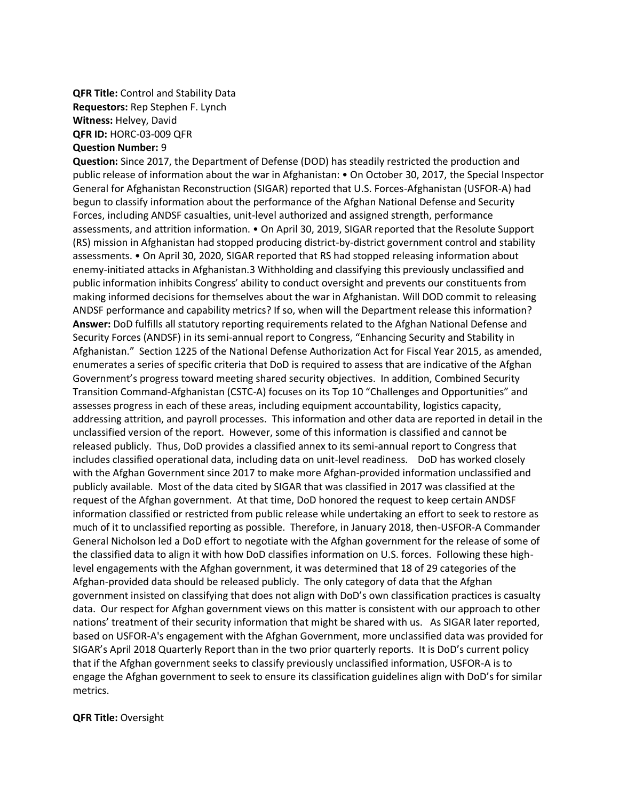## **QFR Title:** Control and Stability Data **Requestors:** Rep Stephen F. Lynch **Witness:** Helvey, David **QFR ID:** HORC-03-009 QFR **Question Number:** 9

## **Question:** Since 2017, the Department of Defense (DOD) has steadily restricted the production and public release of information about the war in Afghanistan: • On October 30, 2017, the Special Inspector General for Afghanistan Reconstruction (SIGAR) reported that U.S. Forces-Afghanistan (USFOR-A) had begun to classify information about the performance of the Afghan National Defense and Security Forces, including ANDSF casualties, unit-level authorized and assigned strength, performance assessments, and attrition information. • On April 30, 2019, SIGAR reported that the Resolute Support (RS) mission in Afghanistan had stopped producing district-by-district government control and stability assessments. • On April 30, 2020, SIGAR reported that RS had stopped releasing information about enemy-initiated attacks in Afghanistan.3 Withholding and classifying this previously unclassified and public information inhibits Congress' ability to conduct oversight and prevents our constituents from making informed decisions for themselves about the war in Afghanistan. Will DOD commit to releasing ANDSF performance and capability metrics? If so, when will the Department release this information? **Answer:** DoD fulfills all statutory reporting requirements related to the Afghan National Defense and Security Forces (ANDSF) in its semi-annual report to Congress, "Enhancing Security and Stability in Afghanistan." Section 1225 of the National Defense Authorization Act for Fiscal Year 2015, as amended, enumerates a series of specific criteria that DoD is required to assess that are indicative of the Afghan Government's progress toward meeting shared security objectives. In addition, Combined Security Transition Command-Afghanistan (CSTC-A) focuses on its Top 10 "Challenges and Opportunities" and assesses progress in each of these areas, including equipment accountability, logistics capacity, addressing attrition, and payroll processes. This information and other data are reported in detail in the unclassified version of the report. However, some of this information is classified and cannot be released publicly. Thus, DoD provides a classified annex to its semi-annual report to Congress that includes classified operational data, including data on unit-level readiness. DoD has worked closely with the Afghan Government since 2017 to make more Afghan-provided information unclassified and publicly available. Most of the data cited by SIGAR that was classified in 2017 was classified at the request of the Afghan government. At that time, DoD honored the request to keep certain ANDSF information classified or restricted from public release while undertaking an effort to seek to restore as much of it to unclassified reporting as possible. Therefore, in January 2018, then-USFOR-A Commander General Nicholson led a DoD effort to negotiate with the Afghan government for the release of some of the classified data to align it with how DoD classifies information on U.S. forces. Following these highlevel engagements with the Afghan government, it was determined that 18 of 29 categories of the Afghan-provided data should be released publicly. The only category of data that the Afghan government insisted on classifying that does not align with DoD's own classification practices is casualty data. Our respect for Afghan government views on this matter is consistent with our approach to other nations' treatment of their security information that might be shared with us. As SIGAR later reported, based on USFOR-A's engagement with the Afghan Government, more unclassified data was provided for SIGAR's April 2018 Quarterly Report than in the two prior quarterly reports. It is DoD's current policy that if the Afghan government seeks to classify previously unclassified information, USFOR-A is to engage the Afghan government to seek to ensure its classification guidelines align with DoD's for similar metrics.

## **QFR Title:** Oversight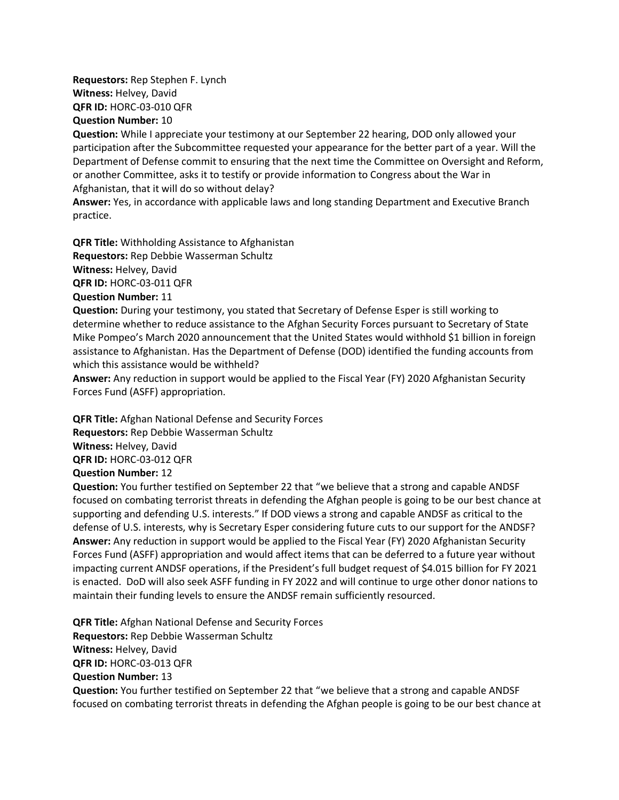**Requestors:** Rep Stephen F. Lynch **Witness:** Helvey, David **QFR ID:** HORC-03-010 QFR **Question Number:** 10

**Question:** While I appreciate your testimony at our September 22 hearing, DOD only allowed your participation after the Subcommittee requested your appearance for the better part of a year. Will the Department of Defense commit to ensuring that the next time the Committee on Oversight and Reform, or another Committee, asks it to testify or provide information to Congress about the War in Afghanistan, that it will do so without delay?

**Answer:** Yes, in accordance with applicable laws and long standing Department and Executive Branch practice.

**QFR Title:** Withholding Assistance to Afghanistan **Requestors:** Rep Debbie Wasserman Schultz **Witness:** Helvey, David **QFR ID:** HORC-03-011 QFR

**Question Number:** 11

**Question:** During your testimony, you stated that Secretary of Defense Esper is still working to determine whether to reduce assistance to the Afghan Security Forces pursuant to Secretary of State Mike Pompeo's March 2020 announcement that the United States would withhold \$1 billion in foreign assistance to Afghanistan. Has the Department of Defense (DOD) identified the funding accounts from which this assistance would be withheld?

**Answer:** Any reduction in support would be applied to the Fiscal Year (FY) 2020 Afghanistan Security Forces Fund (ASFF) appropriation.

**QFR Title:** Afghan National Defense and Security Forces **Requestors:** Rep Debbie Wasserman Schultz **Witness:** Helvey, David

**QFR ID:** HORC-03-012 QFR

**Question Number:** 12

**Question:** You further testified on September 22 that "we believe that a strong and capable ANDSF focused on combating terrorist threats in defending the Afghan people is going to be our best chance at supporting and defending U.S. interests." If DOD views a strong and capable ANDSF as critical to the defense of U.S. interests, why is Secretary Esper considering future cuts to our support for the ANDSF? **Answer:** Any reduction in support would be applied to the Fiscal Year (FY) 2020 Afghanistan Security Forces Fund (ASFF) appropriation and would affect items that can be deferred to a future year without impacting current ANDSF operations, if the President's full budget request of \$4.015 billion for FY 2021 is enacted. DoD will also seek ASFF funding in FY 2022 and will continue to urge other donor nations to maintain their funding levels to ensure the ANDSF remain sufficiently resourced.

**QFR Title:** Afghan National Defense and Security Forces **Requestors:** Rep Debbie Wasserman Schultz **Witness:** Helvey, David **QFR ID:** HORC-03-013 QFR **Question Number:** 13 **Question:** You further testified on September 22 that "we believe that a strong and capable ANDSF focused on combating terrorist threats in defending the Afghan people is going to be our best chance at